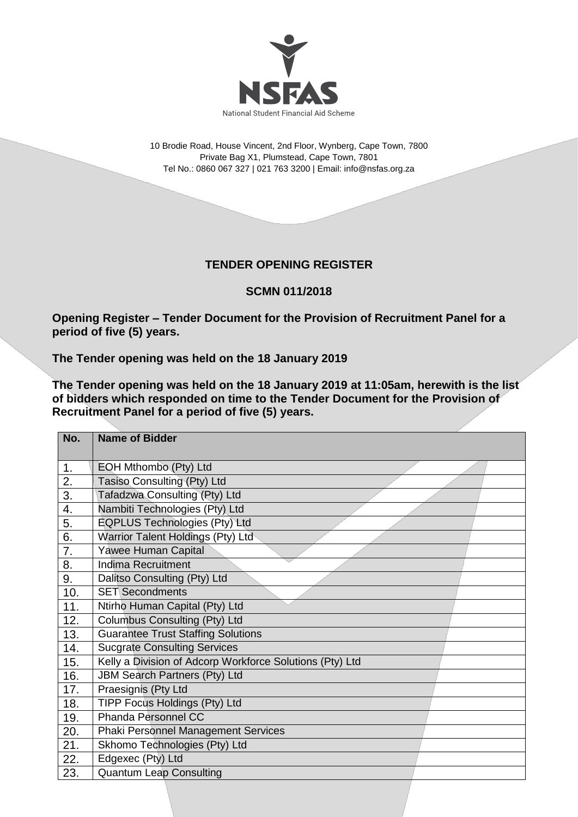

10 Brodie Road, House Vincent, 2nd Floor, Wynberg, Cape Town, 7800 Private Bag X1, Plumstead, Cape Town, 7801 Tel No.: 0860 067 327 | 021 763 3200 | Email[: info@nsfas.org.za](mailto:info@nsfas.org.za)

## **TENDER OPENING REGISTER**

**SCMN 011/2018**

**Opening Register – Tender Document for the Provision of Recruitment Panel for a period of five (5) years.**

**The Tender opening was held on the 18 January 2019**

**The Tender opening was held on the 18 January 2019 at 11:05am, herewith is the list of bidders which responded on time to the Tender Document for the Provision of Recruitment Panel for a period of five (5) years.**

| No. | <b>Name of Bidder</b>                                    |
|-----|----------------------------------------------------------|
| 1.  | EOH Mthombo (Pty) Ltd                                    |
| 2.  | Tasiso Consulting (Pty) Ltd                              |
| 3.  | Tafadzwa Consulting (Pty) Ltd                            |
| 4.  | Nambiti Technologies (Pty) Ltd                           |
| 5.  | <b>EQPLUS Technologies (Pty) Ltd</b>                     |
| 6.  | Warrior Talent Holdings (Pty) Ltd                        |
| 7.  | Yawee Human Capital                                      |
| 8.  | <b>Indima Recruitment</b>                                |
| 9.  | Dalitso Consulting (Pty) Ltd                             |
|     | <b>SET Secondments</b>                                   |
| 10. |                                                          |
| 11. | Ntirho Human Capital (Pty) Ltd                           |
| 12. | Columbus Consulting (Pty) Ltd                            |
| 13. | <b>Guarantee Trust Staffing Solutions</b>                |
| 14. | <b>Sucgrate Consulting Services</b>                      |
| 15. | Kelly a Division of Adcorp Workforce Solutions (Pty) Ltd |
| 16. | <b>JBM Search Partners (Pty) Ltd</b>                     |
| 17. | Praesignis (Pty Ltd                                      |
| 18. | TIPP Focus Holdings (Pty) Ltd                            |
| 19. | Phanda Personnel CC                                      |
| 20. | <b>Phaki Personnel Management Services</b>               |
| 21. | Skhomo Technologies (Pty) Ltd                            |
| 22. | Edgexec (Pty) Ltd                                        |
| 23. | <b>Quantum Leap Consulting</b>                           |